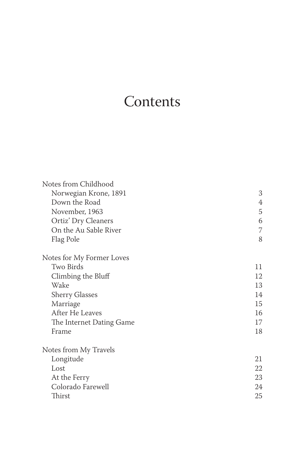## **Contents**

| Notes from Childhood      |    |
|---------------------------|----|
| Norwegian Krone, 1891     | 3  |
| Down the Road             | 4  |
| November, 1963            | 5  |
| Ortiz' Dry Cleaners       | 6  |
| On the Au Sable River     | 7  |
| Flag Pole                 | 8  |
| Notes for My Former Loves |    |
| Two Birds                 | 11 |
| Climbing the Bluff        | 12 |
| Wake                      | 13 |
| <b>Sherry Glasses</b>     | 14 |
| Marriage                  | 15 |
| After He Leaves           | 16 |
| The Internet Dating Game  | 17 |
| Frame                     | 18 |
| Notes from My Travels     |    |
| Longitude                 | 21 |
| Lost                      | 22 |
| At the Ferry              | 23 |
| Colorado Farewell         | 24 |
| Thirst                    | 25 |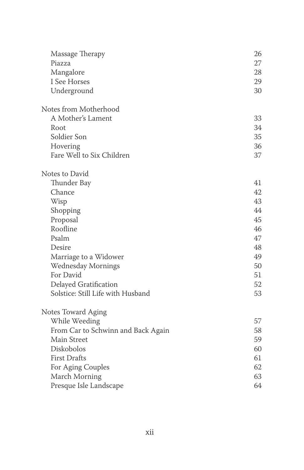| Massage Therapy                    | 26 |
|------------------------------------|----|
| Piazza                             | 27 |
| Mangalore                          | 28 |
| I See Horses                       | 29 |
| Underground                        | 30 |
| Notes from Motherhood              |    |
| A Mother's Lament                  | 33 |
| Root                               | 34 |
| Soldier Son                        | 35 |
| Hovering                           | 36 |
| Fare Well to Six Children          | 37 |
| Notes to David                     |    |
| Thunder Bay                        | 41 |
| Chance                             | 42 |
| Wisp                               | 43 |
| Shopping                           | 44 |
| Proposal                           | 45 |
| Roofline                           | 46 |
| Psalm                              | 47 |
| Desire                             | 48 |
| Marriage to a Widower              | 49 |
| Wednesday Mornings                 | 50 |
| For David                          | 51 |
| Delayed Gratification              | 52 |
| Solstice: Still Life with Husband  | 53 |
| Notes Toward Aging                 |    |
| While Weeding                      | 57 |
| From Car to Schwinn and Back Again | 58 |
| Main Street                        | 59 |
| Diskobolos                         | 60 |
| <b>First Drafts</b>                | 61 |
| For Aging Couples                  | 62 |
| March Morning                      | 63 |
| Presque Isle Landscape             | 64 |